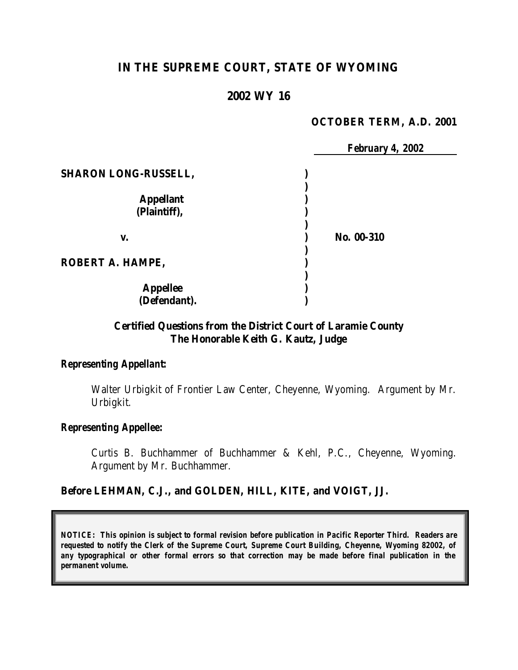# **IN THE SUPREME COURT, STATE OF WYOMING**

## **2002 WY 16**

#### **OCTOBER TERM, A.D. 2001**

|                             | <b>February 4, 2002</b> |
|-----------------------------|-------------------------|
| <b>SHARON LONG-RUSSELL,</b> |                         |
|                             |                         |
| <b>Appellant</b>            |                         |
| (Plaintiff),                |                         |
|                             |                         |
| V.                          | No. 00-310              |
|                             |                         |
| ROBERT A. HAMPE,            |                         |
|                             |                         |
| <b>Appellee</b>             |                         |
| (Defendant).                |                         |

## **Certified Questions from the District Court of Laramie County The Honorable Keith G. Kautz, Judge**

#### *Representing Appellant:*

Walter Urbigkit of Frontier Law Center, Cheyenne, Wyoming. Argument by Mr. Urbigkit.

### *Representing Appellee:*

Curtis B. Buchhammer of Buchhammer & Kehl, P.C., Cheyenne, Wyoming. Argument by Mr. Buchhammer.

#### **Before LEHMAN, C.J., and GOLDEN, HILL, KITE, and VOIGT, JJ.**

*NOTICE: This opinion is subject to formal revision before publication in Pacific Reporter Third. Readers are requested to notify the Clerk of the Supreme Court, Supreme Court Building, Cheyenne, Wyoming 82002, of any typographical or other formal errors so that correction may be made before final publication in the permanent volume.*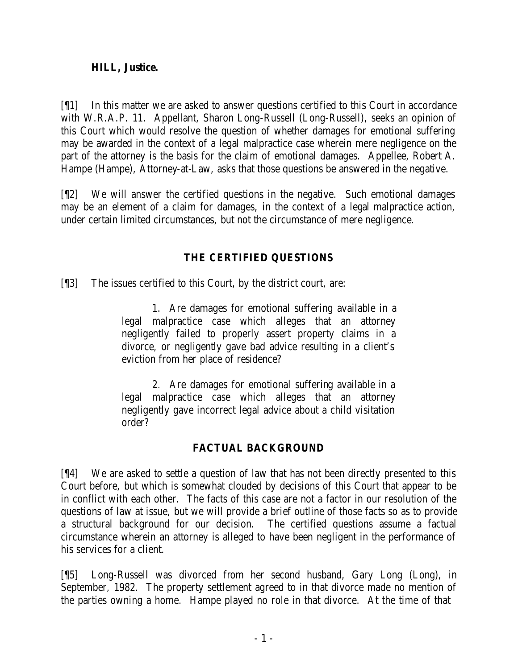### **HILL, Justice.**

[¶1] In this matter we are asked to answer questions certified to this Court in accordance with W.R.A.P. 11. Appellant, Sharon Long-Russell (Long-Russell), seeks an opinion of this Court which would resolve the question of whether damages for emotional suffering may be awarded in the context of a legal malpractice case wherein mere negligence on the part of the attorney is the basis for the claim of emotional damages. Appellee, Robert A. Hampe (Hampe), Attorney-at-Law, asks that those questions be answered in the negative.

[¶2] We will answer the certified questions in the negative. Such emotional damages may be an element of a claim for damages, in the context of a legal malpractice action, under certain limited circumstances, but not the circumstance of mere negligence.

## **THE CERTIFIED QUESTIONS**

[¶3] The issues certified to this Court, by the district court, are:

1. Are damages for emotional suffering available in a legal malpractice case which alleges that an attorney negligently failed to properly assert property claims in a divorce, or negligently gave bad advice resulting in a client's eviction from her place of residence?

2. Are damages for emotional suffering available in a legal malpractice case which alleges that an attorney negligently gave incorrect legal advice about a child visitation order?

## **FACTUAL BACKGROUND**

[¶4] We are asked to settle a question of law that has not been directly presented to this Court before, but which is somewhat clouded by decisions of this Court that appear to be in conflict with each other. The facts of this case are not a factor in our resolution of the questions of law at issue, but we will provide a brief outline of those facts so as to provide a structural background for our decision. The certified questions assume a factual circumstance wherein an attorney is alleged to have been negligent in the performance of his services for a client.

[¶5] Long-Russell was divorced from her second husband, Gary Long (Long), in September, 1982. The property settlement agreed to in that divorce made no mention of the parties owning a home. Hampe played no role in that divorce. At the time of that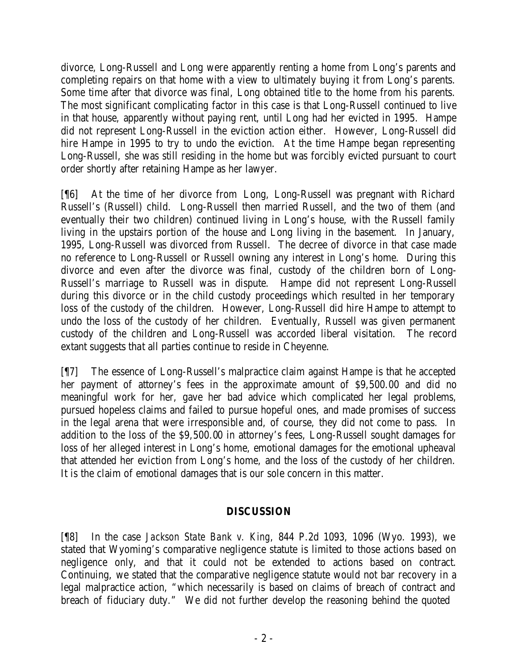divorce, Long-Russell and Long were apparently renting a home from Long's parents and completing repairs on that home with a view to ultimately buying it from Long's parents. Some time after that divorce was final, Long obtained title to the home from his parents. The most significant complicating factor in this case is that Long-Russell continued to live in that house, apparently without paying rent, until Long had her evicted in 1995. Hampe did not represent Long-Russell in the eviction action either. However, Long-Russell did hire Hampe in 1995 to try to undo the eviction. At the time Hampe began representing Long-Russell, she was still residing in the home but was forcibly evicted pursuant to court order shortly after retaining Hampe as her lawyer.

[¶6] At the time of her divorce from Long, Long-Russell was pregnant with Richard Russell's (Russell) child. Long-Russell then married Russell, and the two of them (and eventually their two children) continued living in Long's house, with the Russell family living in the upstairs portion of the house and Long living in the basement. In January, 1995, Long-Russell was divorced from Russell. The decree of divorce in that case made no reference to Long-Russell or Russell owning any interest in Long's home. During this divorce and even after the divorce was final, custody of the children born of Long-Russell's marriage to Russell was in dispute. Hampe did not represent Long-Russell during this divorce or in the child custody proceedings which resulted in her temporary loss of the custody of the children. However, Long-Russell did hire Hampe to attempt to undo the loss of the custody of her children. Eventually, Russell was given permanent custody of the children and Long-Russell was accorded liberal visitation. The record extant suggests that all parties continue to reside in Cheyenne.

[¶7] The essence of Long-Russell's malpractice claim against Hampe is that he accepted her payment of attorney's fees in the approximate amount of \$9,500.00 and did no meaningful work for her, gave her bad advice which complicated her legal problems, pursued hopeless claims and failed to pursue hopeful ones, and made promises of success in the legal arena that were irresponsible and, of course, they did not come to pass. In addition to the loss of the \$9,500.00 in attorney's fees, Long-Russell sought damages for loss of her alleged interest in Long's home, emotional damages for the emotional upheaval that attended her eviction from Long's home, and the loss of the custody of her children. It is the claim of emotional damages that is our sole concern in this matter.

## **DISCUSSION**

[¶8] In the case *Jackson State Bank v. King*, 844 P.2d 1093, 1096 (Wyo. 1993), we stated that Wyoming's comparative negligence statute is limited to those actions based on negligence only, and that it could not be extended to actions based on contract. Continuing, we stated that the comparative negligence statute would not bar recovery in a legal malpractice action, "which necessarily is based on claims of breach of contract and breach of fiduciary duty." We did not further develop the reasoning behind the quoted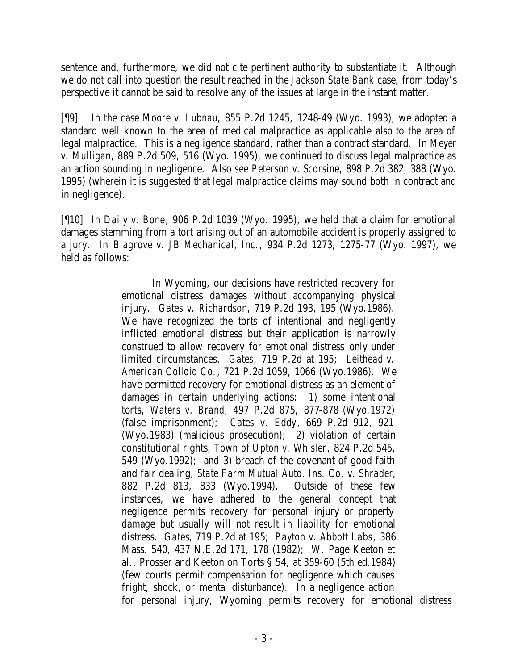sentence and, furthermore, we did not cite pertinent authority to substantiate it. Although we do not call into question the result reached in the *Jackson State Bank* case, from today's perspective it cannot be said to resolve any of the issues at large in the instant matter.

[¶9] In the case *Moore v. Lubnau*, 855 P.2d 1245, 1248-49 (Wyo. 1993), we adopted a standard well known to the area of medical malpractice as applicable also to the area of legal malpractice. This is a negligence standard, rather than a contract standard. In *Meyer v. Mulligan*, 889 P.2d 509, 516 (Wyo. 1995), we continued to discuss legal malpractice as an action sounding in negligence. Also *see Peterson v. Scorsine*, 898 P.2d 382, 388 (Wyo. 1995) (wherein it is suggested that legal malpractice claims may sound both in contract and in negligence).

[¶10] In *Daily v. Bone*, 906 P.2d 1039 (Wyo. 1995), we held that a claim for emotional damages stemming from a tort arising out of an automobile accident is properly assigned to a jury. In *Blagrove v. JB Mechanical, Inc.*, 934 P.2d 1273, 1275-77 (Wyo. 1997), we held as follows:

> In Wyoming, our decisions have restricted recovery for emotional distress damages without accompanying physical injury. *Gates v. Richardson*, 719 P.2d 193, 195 (Wyo.1986). We have recognized the torts of intentional and negligently inflicted emotional distress but their application is narrowly construed to allow recovery for emotional distress only under limited circumstances. *Gates*, 719 P.2d at 195; *Leithead v. American Colloid Co.*, 721 P.2d 1059, 1066 (Wyo.1986). We have permitted recovery for emotional distress as an element of damages in certain underlying actions: 1) some intentional torts, *Waters v. Brand*, 497 P.2d 875, 877-878 (Wyo.1972) (false imprisonment); *Cates v. Eddy*, 669 P.2d 912, 921 (Wyo.1983) (malicious prosecution); 2) violation of certain constitutional rights, *Town of Upton v. Whisler*, 824 P.2d 545, 549 (Wyo.1992); and 3) breach of the covenant of good faith and fair dealing, *State Farm Mutual Auto. Ins. Co. v. Shrader*, 882 P.2d 813, 833 (Wyo.1994). Outside of these few instances, we have adhered to the general concept that negligence permits recovery for personal injury or property damage but usually will not result in liability for emotional distress. *Gates*, 719 P.2d at 195; *Payton v. Abbott Labs*, 386 Mass. 540, 437 N.E.2d 171, 178 (1982); W. Page Keeton et al., Prosser and Keeton on Torts § 54, at 359-60 (5th ed.1984) (few courts permit compensation for negligence which causes fright, shock, or mental disturbance). In a negligence action for personal injury, Wyoming permits recovery for emotional distress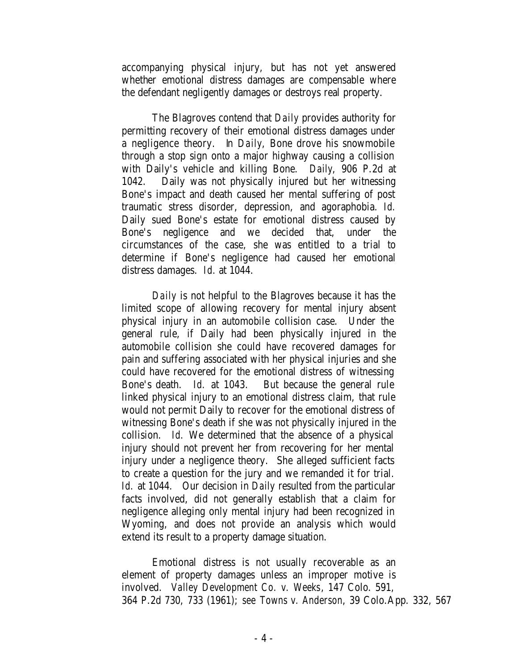accompanying physical injury, but has not yet answered whether emotional distress damages are compensable where the defendant negligently damages or destroys real property.

The Blagroves contend that *Daily* provides authority for permitting recovery of their emotional distress damages under a negligence theory. In *Daily*, Bone drove his snowmobile through a stop sign onto a major highway causing a collision with Daily's vehicle and killing Bone. *Daily*, 906 P.2d at 1042. Daily was not physically injured but her witnessing Bone's impact and death caused her mental suffering of post traumatic stress disorder, depression, and agoraphobia. *Id.* Daily sued Bone's estate for emotional distress caused by Bone's negligence and we decided that, under the circumstances of the case, she was entitled to a trial to determine if Bone's negligence had caused her emotional distress damages. *Id.* at 1044.

*Daily* is not helpful to the Blagroves because it has the limited scope of allowing recovery for mental injury absent physical injury in an automobile collision case. Under the general rule, if Daily had been physically injured in the automobile collision she could have recovered damages for pain and suffering associated with her physical injuries and she could have recovered for the emotional distress of witnessing Bone's death. *Id.* at 1043. But because the general rule linked physical injury to an emotional distress claim, that rule would not permit Daily to recover for the emotional distress of witnessing Bone's death if she was not physically injured in the collision. *Id.* We determined that the absence of a physical injury should not prevent her from recovering for her mental injury under a negligence theory. She alleged sufficient facts to create a question for the jury and we remanded it for trial. *Id.* at 1044. Our decision in *Daily* resulted from the particular facts involved, did not generally establish that a claim for negligence alleging only mental injury had been recognized in Wyoming, and does not provide an analysis which would extend its result to a property damage situation.

Emotional distress is not usually recoverable as an element of property damages unless an improper motive is involved. *Valley Development Co. v. Weeks*, 147 Colo. 591, 364 P.2d 730, 733 (1961); *see Towns v. Anderson*, 39 Colo.App. 332, 567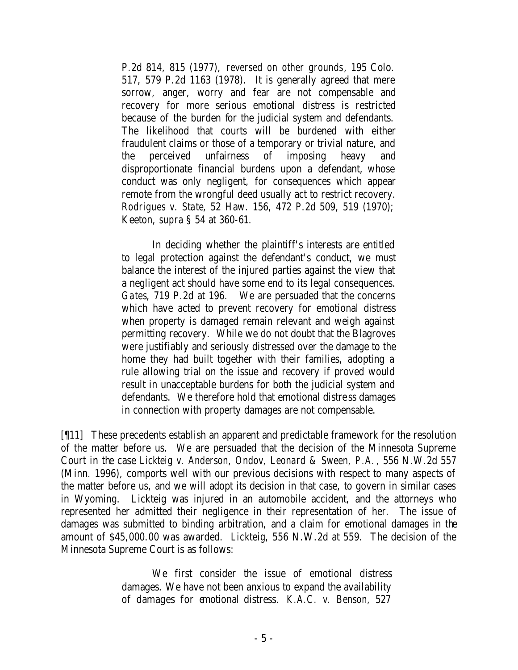P.2d 814, 815 (1977), *reversed on other grounds*, 195 Colo. 517, 579 P.2d 1163 (1978). It is generally agreed that mere sorrow, anger, worry and fear are not compensable and recovery for more serious emotional distress is restricted because of the burden for the judicial system and defendants. The likelihood that courts will be burdened with either fraudulent claims or those of a temporary or trivial nature, and the perceived unfairness of imposing heavy and disproportionate financial burdens upon a defendant, whose conduct was only negligent, for consequences which appear remote from the wrongful deed usually act to restrict recovery. *Rodrigues v. State*, 52 Haw. 156, 472 P.2d 509, 519 (1970); Keeton, *supra* § 54 at 360-61.

In deciding whether the plaintiff's interests are entitled to legal protection against the defendant's conduct, we must balance the interest of the injured parties against the view that a negligent act should have some end to its legal consequences. *Gates*, 719 P.2d at 196. We are persuaded that the concerns which have acted to prevent recovery for emotional distress when property is damaged remain relevant and weigh against permitting recovery. While we do not doubt that the Blagroves were justifiably and seriously distressed over the damage to the home they had built together with their families, adopting a rule allowing trial on the issue and recovery if proved would result in unacceptable burdens for both the judicial system and defendants. We therefore hold that emotional distre ss damages in connection with property damages are not compensable.

[¶11] These precedents establish an apparent and predictable framework for the resolution of the matter before us. We are persuaded that the decision of the Minnesota Supreme Court in the case *Lickteig v. Anderson, Ondov, Leonard & Sween, P.A.*, 556 N.W.2d 557 (Minn. 1996), comports well with our previous decisions with respect to many aspects of the matter before us, and we will adopt its decision in that case, to govern in similar cases in Wyoming. Lickteig was injured in an automobile accident, and the attorneys who represented her admitted their negligence in their representation of her. The issue of damages was submitted to binding arbitration, and a claim for emotional damages in the amount of \$45,000.00 was awarded. *Lickteig*, 556 N.W.2d at 559. The decision of the Minnesota Supreme Court is as follows:

> We first consider the issue of emotional distress damages. We have not been anxious to expand the availability of damages for emotional distress. *K.A.C. v. Benson,* 527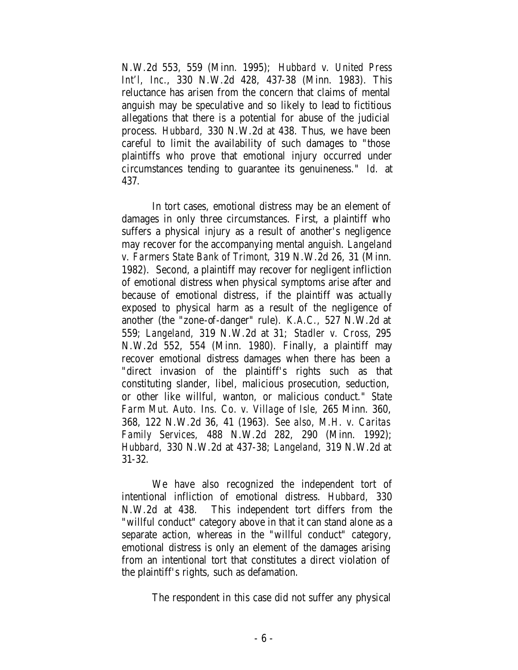N.W.2d 553, 559 (Minn. 1995); *Hubbard v. United Press Int'l, Inc.*, 330 N.W.2d 428, 437-38 (Minn. 1983). This reluctance has arisen from the concern that claims of mental anguish may be speculative and so likely to lead to fictitious allegations that there is a potential for abuse of the judicial process. *Hubbard,* 330 N.W.2d at 438. Thus, we have been careful to limit the availability of such damages to "those plaintiffs who prove that emotional injury occurred under circumstances tending to guarantee its genuineness." *Id.* at 437.

In tort cases, emotional distress may be an element of damages in only three circumstances. First, a plaintiff who suffers a physical injury as a result of another's negligence may recover for the accompanying mental anguish. *Langeland v. Farmers State Bank of Trimont,* 319 N.W.2d 26, 31 (Minn. 1982). Second, a plaintiff may recover for negligent infliction of emotional distress when physical symptoms arise after and because of emotional distress, if the plaintiff was actually exposed to physical harm as a result of the negligence of another (the "zone-of-danger" rule). *K.A.C.,* 527 N.W.2d at 559; *Langeland,* 319 N.W.2d at 31; *Stadler v. Cross,* 295 N.W.2d 552, 554 (Minn. 1980). Finally, a plaintiff may recover emotional distress damages when there has been a "direct invasion of the plaintiff's rights such as that constituting slander, libel, malicious prosecution, seduction, or other like willful, wanton, or malicious conduct." *State Farm Mut. Auto. Ins. Co. v. Village of Isle,* 265 Minn. 360, 368, 122 N.W.2d 36, 41 (1963). *See also, M.H. v. Caritas Family Services,* 488 N.W.2d 282, 290 (Minn. 1992); *Hubbard,* 330 N.W.2d at 437-38; *Langeland,* 319 N.W.2d at 31-32.

We have also recognized the independent tort of intentional infliction of emotional distress. *Hubbard,* 330 N.W.2d at 438. This independent tort differs from the "willful conduct" category above in that it can stand alone as a separate action, whereas in the "willful conduct" category, emotional distress is only an element of the damages arising from an intentional tort that constitutes a direct violation of the plaintiff's rights, such as defamation.

The respondent in this case did not suffer any physical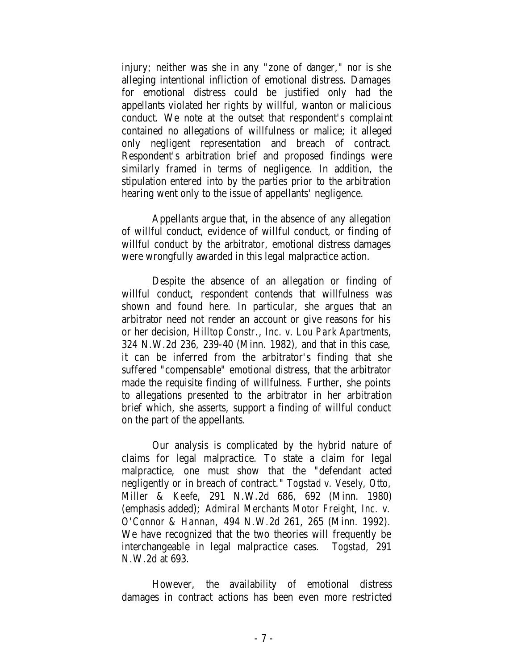injury; neither was she in any "zone of danger," nor is she alleging intentional infliction of emotional distress. Damages for emotional distress could be justified only had the appellants violated her rights by willful, wanton or malicious conduct. We note at the outset that respondent's complaint contained no allegations of willfulness or malice; it alleged only negligent representation and breach of contract. Respondent's arbitration brief and proposed findings were similarly framed in terms of negligence. In addition, the stipulation entered into by the parties prior to the arbitration hearing went only to the issue of appellants' negligence.

Appellants argue that, in the absence of any allegation of willful conduct, evidence of willful conduct, or finding of willful conduct by the arbitrator, emotional distress damages were wrongfully awarded in this legal malpractice action.

Despite the absence of an allegation or finding of willful conduct, respondent contends that willfulness was shown and found here. In particular, she argues that an arbitrator need not render an account or give reasons for his or her decision, *Hilltop Constr., Inc. v. Lou Park Apartments,* 324 N.W.2d 236, 239-40 (Minn. 1982), and that in this case, it can be inferred from the arbitrator's finding that she suffered "compensable" emotional distress, that the arbitrator made the requisite finding of willfulness. Further, she points to allegations presented to the arbitrator in her arbitration brief which, she asserts, support a finding of willful conduct on the part of the appellants.

Our analysis is complicated by the hybrid nature of claims for legal malpractice. To state a claim for legal malpractice, one must show that the "defendant acted negligently *or* in breach of contract." *Togstad v. Vesely, Otto, Miller & Keefe,* 291 N.W.2d 686, 692 (Minn. 1980) (emphasis added); *Admiral Merchants Motor Freight, Inc. v. O'Connor & Hannan,* 494 N.W.2d 261, 265 (Minn. 1992). We have recognized that the two theories will frequently be interchangeable in legal malpractice cases. *Togstad,* 291 N.W.2d at 693.

However, the availability of emotional distress damages in contract actions has been even more restricted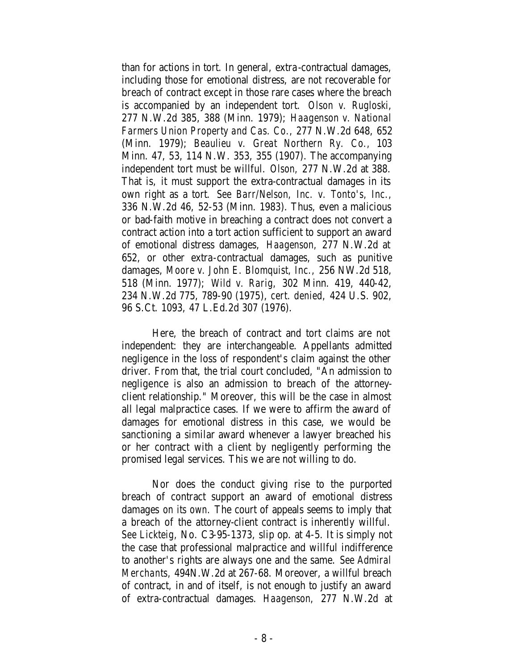than for actions in tort. In general, extra -contractual damages, including those for emotional distress, are not recoverable for breach of contract except in those rare cases where the breach is accompanied by an independent tort. *Olson v. Rugloski,* 277 N.W.2d 385, 388 (Minn. 1979); *Haagenson v. National Farmers Union Property and Cas. Co.,* 277 N.W.2d 648, 652 (Minn. 1979); *Beaulieu v. Great Northern Ry. Co.,* 103 Minn. 47, 53, 114 N.W. 353, 355 (1907). The accompanying independent tort must be willful. *Olson,* 277 N.W.2d at 388. That is, it must support the extra-contractual damages in its own right as a tort. *See Barr/Nelson, Inc. v. Tonto's, Inc.,* 336 N.W.2d 46, 52-53 (Minn. 1983). Thus, even a malicious or bad-faith motive in breaching a contract does not convert a contract action into a tort action sufficient to support an award of emotional distress damages, *Haagenson,* 277 N.W.2d at 652, or other extra-contractual damages, such as punitive damages, *Moore v. John E. Blomquist, Inc.,* 256 NW.2d 518, 518 (Minn. 1977); *Wild v. Rarig,* 302 Minn. 419, 440-42, 234 N.W.2d 775, 789-90 (1975), *cert. denied,* 424 U.S. 902, 96 S.Ct. 1093, 47 L.Ed.2d 307 (1976).

Here, the breach of contract and tort claims are not independent: they are interchangeable. Appellants admitted negligence in the loss of respondent's claim against the other driver. From that, the trial court concluded, "An admission to negligence is also an admission to breach of the attorneyclient relationship." Moreover, this will be the case in almost all legal malpractice cases. If we were to affirm the award of damages for emotional distress in this case, we would be sanctioning a similar award whenever a lawyer breached his or her contract with a client by negligently performing the promised legal services. This we are not willing to do.

Nor does the conduct giving rise to the purported breach of contract support an award of emotional distress damages *on its own.* The court of appeals seems to imply that a breach of the attorney-client contract is inherently willful. *See Lickteig,* No. C3-95-1373, slip op. at 4-5. It is simply not the case that professional malpractice and willful indifference to another's rights are always one and the same. *See Admiral Merchants,* 494N.W.2d at 267-68. Moreover, a willful breach of contract, in and of itself, is not enough to justify an award of extra-contractual damages. *Haagenson,* 277 N.W.2d at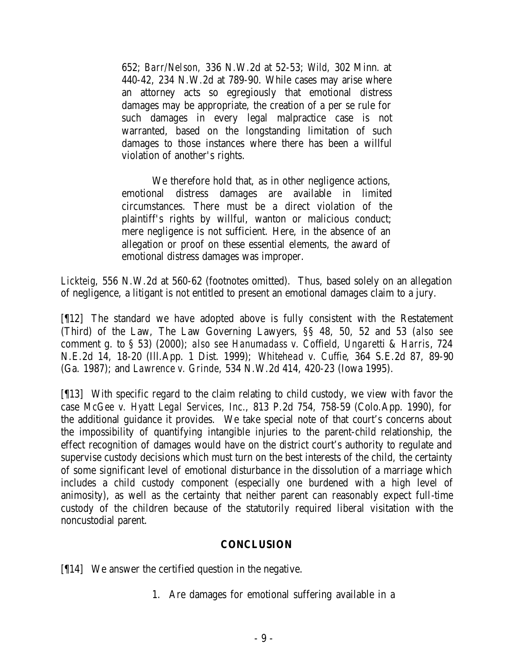652; *Barr/Nelson,* 336 N.W.2d at 52-53; *Wild,* 302 Minn. at 440-42, 234 N.W.2d at 789-90. While cases may arise where an attorney acts so egregiously that emotional distress damages may be appropriate, the creation of a per se rule for such damages in every legal malpractice case is not warranted, based on the longstanding limitation of such damages to those instances where there has been a willful violation of another's rights.

We therefore hold that, as in other negligence actions, emotional distress damages are available in limited circumstances. There must be a direct violation of the plaintiff's rights by willful, wanton or malicious conduct; mere negligence is not sufficient. Here, in the absence of an allegation or proof on these essential elements, the award of emotional distress damages was improper.

*Lickteig*, 556 N.W.2d at 560-62 (footnotes omitted). Thus, based solely on an allegation of negligence, a litigant is not entitled to present an emotional damages claim to a jury.

[¶12] The standard we have adopted above is fully consistent with the Restatement (Third) of the Law, The Law Governing Lawyers, §§ 48, 50, 52 and 53 (*also see* comment g. to § 53) (2000); *also see Hanumadass v. Coffield, Ungaretti & Harris*, 724 N.E.2d 14, 18-20 (Ill.App. 1 Dist. 1999); *Whitehead v. Cuffie*, 364 S.E.2d 87, 89-90 (Ga. 1987); and *Lawrence v. Grinde*, 534 N.W.2d 414, 420-23 (Iowa 1995).

[¶13] With specific regard to the claim relating to child custody, we view with favor the case *McGee v. Hyatt Legal Services, Inc.*, 813 P.2d 754, 758-59 (Colo.App. 1990), for the additional guidance it provides. We take special note of that court's concerns about the impossibility of quantifying intangible injuries to the parent-child relationship, the effect recognition of damages would have on the district court's authority to regulate and supervise custody decisions which must turn on the best interests of the child, the certainty of some significant level of emotional disturbance in the dissolution of a marriage which includes a child custody component (especially one burdened with a high level of animosity), as well as the certainty that neither parent can reasonably expect full-time custody of the children because of the statutorily required liberal visitation with the noncustodial parent.

### **CONCLUSION**

[¶14] We answer the certified question in the negative.

1. Are damages for emotional suffering available in a